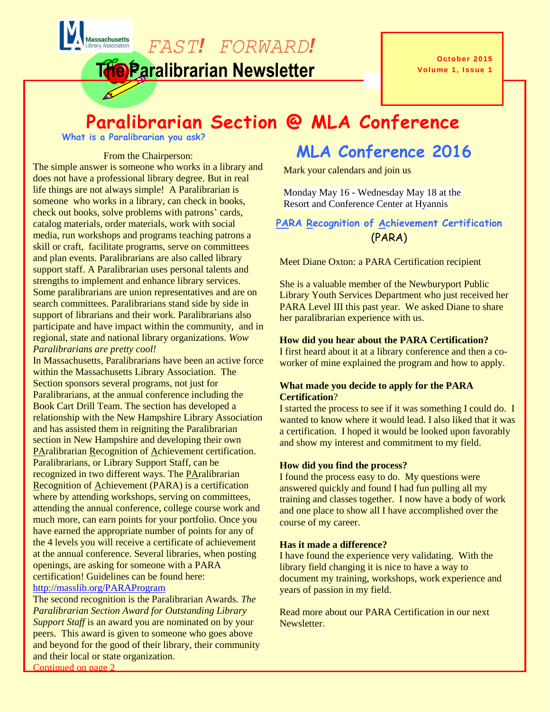*FAST! FORWARD!*

**The Paralibrarian Newsletter**

**October 2015 Volume 1, Issue 1**

# **Paralibrarian Section @ MLA Conference**

**What is a Paralibrarian you ask?** 

**Massachusetts** 

#### From the Chairperson:

The simple answer is someone who works in a library and does not have a professional library degree. But in real life things are not always simple! A Paralibrarian is someone who works in a library, can check in books, check out books, solve problems with patrons' cards, catalog materials, order materials, work with social media, run workshops and programs teaching patrons a skill or craft, facilitate programs, serve on committees and plan events. Paralibrarians are also called library support staff. A Paralibrarian uses personal talents and strengths to implement and enhance library services. Some paralibrarians are union representatives and are on search committees. Paralibrarians stand side by side in support of librarians and their work. Paralibrarians also participate and have impact within the community, and in regional, state and national library organizations. *Wow Paralibrarians are pretty cool!*

In Massachusetts, Paralibrarians have been an active force within the Massachusetts Library Association. The Section sponsors several programs, not just for Paralibrarians, at the annual conference including the Book Cart Drill Team. The section has developed a relationship with the New Hampshire Library Association and has assisted them in reigniting the Paralibrarian section in New Hampshire and developing their own PAralibrarian Recognition of Achievement certification. Paralibrarians, or Library Support Staff, can be recognized in two different ways. The PAralibrarian Recognition of Achievement (PARA) is a certification where by attending workshops, serving on committees, attending the annual conference, college course work and much more, can earn points for your portfolio. Once you have earned the appropriate number of points for any of the 4 levels you will receive a certificate of achievement at the annual conference. Several libraries, when posting openings, are asking for someone with a PARA certification! Guidelines can be found here: <http://masslib.org/PARAProgram>

The second recognition is the Paralibrarian Awards*. The Paralibrarian Section Award for Outstanding Library Support Staff* is an award you are nominated on by your peers. This award is given to someone who goes above and beyond for the good of their library, their community and their local or state organization. Continued on page 2

# **MLA Conference 2016**

Mark your calendars and join us

Monday May 16 - Wednesday May 18 at the Resort and Conference Center at Hyannis

#### **PARA Recognition of Achievement Certification** (PARA)

Meet Diane Oxton: a PARA Certification recipient

She is a valuable member of the Newburyport Public Library Youth Services Department who just received her PARA Level III this past year. We asked Diane to share her paralibrarian experience with us.

#### **How did you hear about the PARA Certification?**

I first heard about it at a library conference and then a coworker of mine explained the program and how to apply.

#### **What made you decide to apply for the PARA Certification**?

I started the process to see if it was something I could do. I wanted to know where it would lead. I also liked that it was a certification. I hoped it would be looked upon favorably and show my interest and commitment to my field.

#### **How did you find the process?**

I found the process easy to do. My questions were answered quickly and found I had fun pulling all my training and classes together. I now have a body of work and one place to show all I have accomplished over the course of my career.

#### **Has it made a difference?**

I have found the experience very validating. With the library field changing it is nice to have a way to document my training, workshops, work experience and years of passion in my field.

**2015-2016 Officers** Read more about our PARA Certification in our next **Newsletter**